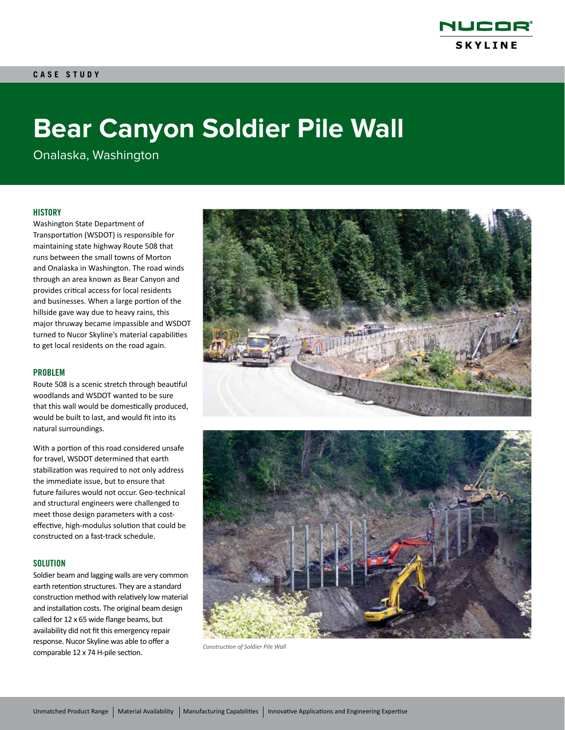

# **Bear Canyon Soldier Pile Wall**

Onalaska, Washington

# **HISTORY**

Washington State Department of Transportation (WSDOT) is responsible for maintaining state highway Route 508 that runs between the small towns of Morton and Onalaska in Washington. The road winds through an area known as Bear Canyon and provides critical access for local residents and businesses. When a large portion of the hillside gave way due to heavy rains, this major thruway became impassible and WSDOT turned to Nucor Skyline's material capabilities to get local residents on the road again.

## PROBLEM

Route 508 is a scenic stretch through beautiful woodlands and WSDOT wanted to be sure that this wall would be domestically produced, would be built to last, and would fit into its natural surroundings.

With a portion of this road considered unsafe for travel, WSDOT determined that earth stabilization was required to not only address the immediate issue, but to ensure that future failures would not occur. Geo-technical and structural engineers were challenged to meet those design parameters with a costeffective, high-modulus solution that could be constructed on a fast-track schedule.

### **SOLUTION**

Soldier beam and lagging walls are very common earth retention structures. They are a standard construction method with relatively low material and installation costs. The original beam design called for 12 x 65 wide flange beams, but availability did not fit this emergency repair response. Nucor Skyline was able to offer a comparable 12 x 74 H-pile section. *Construction of Soldier Pile Wall*